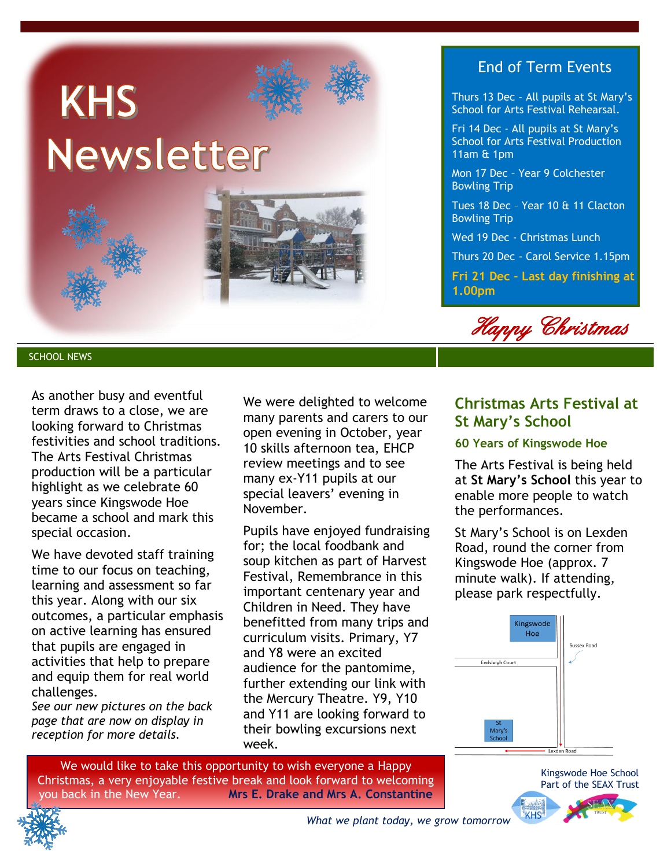

### End of Term Events

Thurs 13 Dec – All pupils at St Mary's School for Arts Festival Rehearsal.

Fri 14 Dec - All pupils at St Mary's School for Arts Festival Production 11am & 1pm

Mon 17 Dec – Year 9 Colchester Bowling Trip

Tues 18 Dec – Year 10 & 11 Clacton Bowling Trip

Wed 19 Dec - Christmas Lunch

Thurs 20 Dec - Carol Service 1.15pm

**Fri 21 Dec – Last day finishing at 1.00pm**



SCHOOL NEWS

As another busy and eventful term draws to a close, we are looking forward to Christmas festivities and school traditions. The Arts Festival Christmas production will be a particular highlight as we celebrate 60 years since Kingswode Hoe became a school and mark this special occasion.

We have devoted staff training time to our focus on teaching, learning and assessment so far this year. Along with our six outcomes, a particular emphasis on active learning has ensured that pupils are engaged in activities that help to prepare and equip them for real world challenges.

*See our new pictures on the back page that are now on display in reception for more details.*

We were delighted to welcome many parents and carers to our open evening in October, year 10 skills afternoon tea, EHCP review meetings and to see many ex-Y11 pupils at our special leavers' evening in November.

Pupils have enjoyed fundraising for; the local foodbank and soup kitchen as part of Harvest Festival, Remembrance in this important centenary year and Children in Need. They have benefitted from many trips and curriculum visits. Primary, Y7 and Y8 were an excited audience for the pantomime, further extending our link with the Mercury Theatre. Y9, Y10 and Y11 are looking forward to their bowling excursions next week.

## **Christmas Arts Festival at St Mary's School**

### **60 Years of Kingswode Hoe**

The Arts Festival is being held at **St Mary's School** this year to enable more people to watch the performances.

St Mary's School is on Lexden Road, round the corner from Kingswode Hoe (approx. 7 minute walk). If attending, please park respectfully.



We would like to take this opportunity to wish everyone a Happy Christmas, a very enjoyable festive break and look forward to welcoming you back in the New Year. **Mrs E. Drake and Mrs A. Constantine**



Kingswode Hoe School

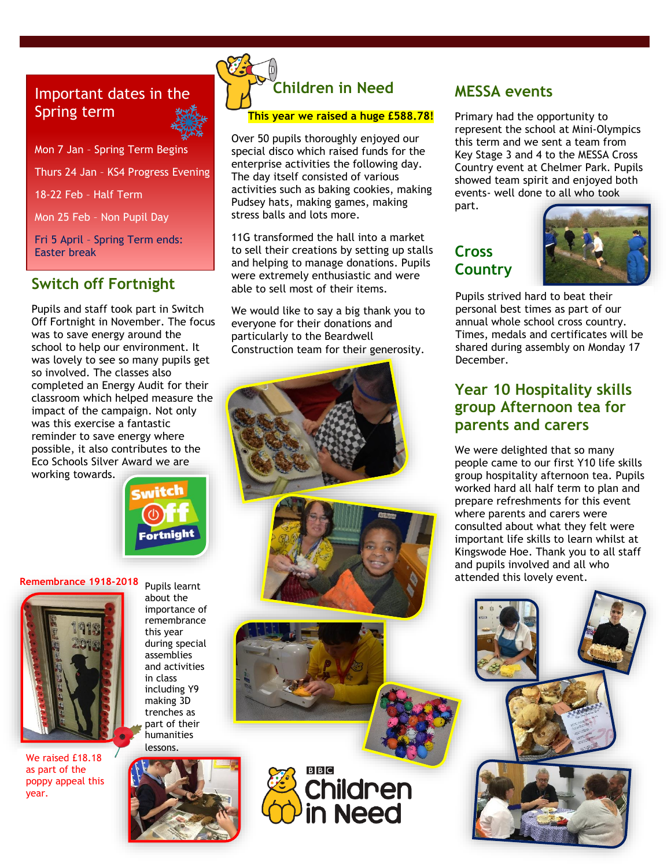# Important dates in the Spring term

Mon 7 Jan – Spring Term Begins Thurs 24 Jan – KS4 Progress Evening 18-22 Feb – Half Term Mon 25 Feb – Non Pupil Day Fri 5 April – Spring Term ends: Easter break

## **Switch off Fortnight**

Pupils and staff took part in Switch Off Fortnight in November. The focus was to save energy around the school to help our environment. It was lovely to see so many pupils get so involved. The classes also completed an Energy Audit for their classroom which helped measure the impact of the campaign. Not only was this exercise a fantastic reminder to save energy where possible, it also contributes to the Eco Schools Silver Award we are working towards.



### **Remembrance 1918-2018** Pupils learnt



We raised £18.18 as part of the poppy appeal this year.

about the importance of remembrance this year during special assemblies and activities in class including Y9 making 3D trenches as part of their humanities lessons.



# **Children in Need**

#### **This year we raised a huge £588.78!**

Over 50 pupils thoroughly enjoyed our special disco which raised funds for the enterprise activities the following day. The day itself consisted of various activities such as baking cookies, making Pudsey hats, making games, making stress balls and lots more.

11G transformed the hall into a market to sell their creations by setting up stalls and helping to manage donations. Pupils were extremely enthusiastic and were able to sell most of their items.

We would like to say a big thank you to everyone for their donations and particularly to the Beardwell Construction team for their generosity.

**BBC** 

**Children** 

### **MESSA events**

Primary had the opportunity to represent the school at Mini-Olympics this term and we sent a team from Key Stage 3 and 4 to the MESSA Cross Country event at Chelmer Park. Pupils showed team spirit and enjoyed both events- well done to all who took part.

**Cross Country** 



shared during assembly on Monday 17<br>Docember Pupils strived hard to beat their personal best times as part of our annual whole school cross country. Times, medals and certificates will be December.

### **Year 10 Hospitality skills group Afternoon tea for parents and carers**

We were delighted that so many people came to our first Y10 life skills group hospitality afternoon tea. Pupils worked hard all half term to plan and prepare refreshments for this event where parents and carers were consulted about what they felt were important life skills to learn whilst at Kingswode Hoe. Thank you to all staff and pupils involved and all who attended this lovely event.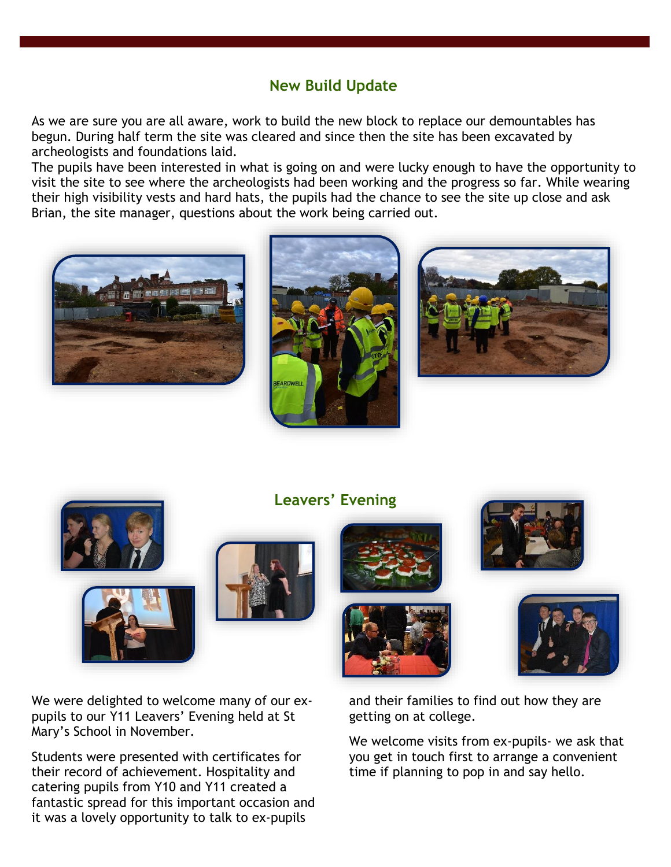## **New Build Update**

As we are sure you are all aware, work to build the new block to replace our demountables has begun. During half term the site was cleared and since then the site has been excavated by archeologists and foundations laid.

The pupils have been interested in what is going on and were lucky enough to have the opportunity to visit the site to see where the archeologists had been working and the progress so far. While wearing their high visibility vests and hard hats, the pupils had the chance to see the site up close and ask Brian, the site manager, questions about the work being carried out.











We were delighted to welcome many of our expupils to our Y11 Leavers' Evening held at St Mary's School in November.

Students were presented with certificates for their record of achievement. Hospitality and catering pupils from Y10 and Y11 created a fantastic spread for this important occasion and it was a lovely opportunity to talk to ex-pupils









and their families to find out how they are getting on at college.

We welcome visits from ex-pupils- we ask that you get in touch first to arrange a convenient time if planning to pop in and say hello.